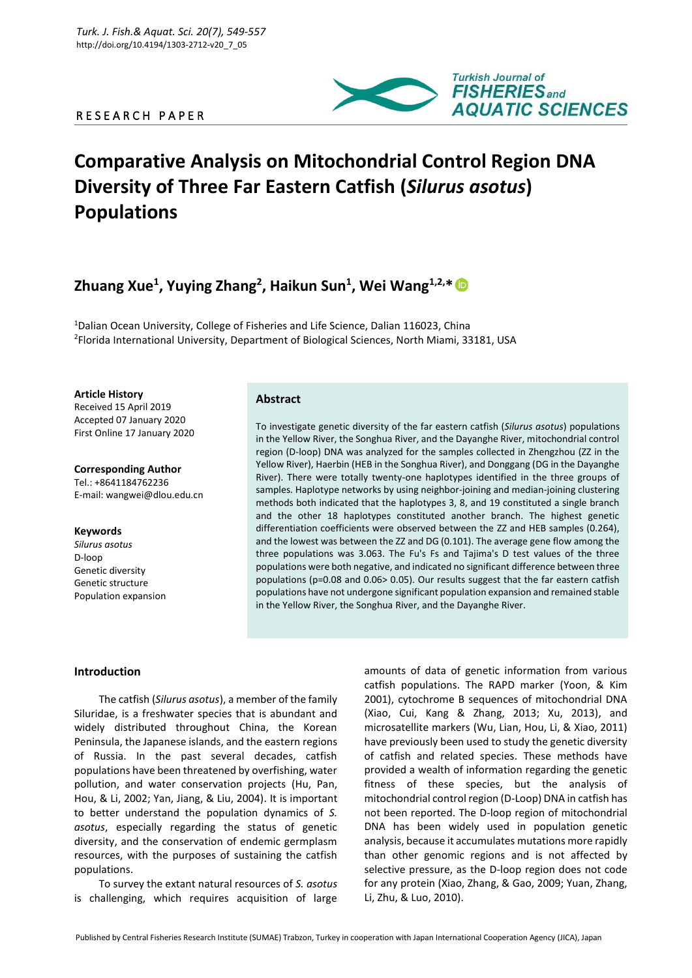# R E S E A R C H P A P E R



# **Comparative Analysis on Mitochondrial Control Region DNA Diversity of Three Far Eastern Catfish (***Silurus asotus***) Populations**

# **Zhuang Xue<sup>1</sup> , Yuying Zhang<sup>2</sup> , Haikun Sun<sup>1</sup> , Wei Wang1,2,\***

<sup>1</sup>Dalian Ocean University, College of Fisheries and Life Science, Dalian 116023, China 2 Florida International University, Department of Biological Sciences, North Miami, 33181, USA

**Article History** Received 15 April 2019 Accepted 07 January 2020 First Online 17 January 2020

**Corresponding Author** Tel.: +8641184762236 E-mail: wangwei@dlou.edu.cn

#### **Keywords**

*Silurus asotus* D-loop Genetic diversity Genetic structure Population expansion

## **Abstract**

To investigate genetic diversity of the far eastern catfish (*Silurus asotus*) populations in the Yellow River, the Songhua River, and the Dayanghe River, mitochondrial control region (D-loop) DNA was analyzed for the samples collected in Zhengzhou (ZZ in the Yellow River), Haerbin (HEB in the Songhua River), and Donggang (DG in the Dayanghe River). There were totally twenty-one haplotypes identified in the three groups of samples. Haplotype networks by using neighbor-joining and median-joining clustering methods both indicated that the haplotypes 3, 8, and 19 constituted a single branch and the other 18 haplotypes constituted another branch. The highest genetic differentiation coefficients were observed between the ZZ and HEB samples (0.264), and the lowest was between the ZZ and DG (0.101). The average gene flow among the three populations was 3.063. The Fu's Fs and Tajima's D test values of the three populations were both negative, and indicated no significant difference between three populations (p=0.08 and 0.06> 0.05). Our results suggest that the far eastern catfish populations have not undergone significant population expansion and remained stable in the Yellow River, the Songhua River, and the Dayanghe River.

**Introduction**

The catfish (*Silurus asotus*), a member of the family Siluridae, is a freshwater species that is abundant and widely distributed throughout China, the Korean Peninsula, the Japanese islands, and the eastern regions of Russia. In the past several decades, catfish populations have been threatened by overfishing, water pollution, and water conservation projects (Hu, Pan, Hou, & Li, 2002; Yan, Jiang, & Liu, 2004). It is important to better understand the population dynamics of *S. asotus*, especially regarding the status of genetic diversity, and the conservation of endemic germplasm resources, with the purposes of sustaining the catfish populations.

To survey the extant natural resources of *S. asotus* is challenging, which requires acquisition of large

amounts of data of genetic information from various catfish populations. The RAPD marker (Yoon, & Kim 2001), cytochrome B sequences of mitochondrial DNA (Xiao, Cui, Kang & Zhang, 2013; Xu, 2013), and microsatellite markers (Wu, Lian, Hou, Li, & Xiao, 2011) have previously been used to study the genetic diversity of catfish and related species. These methods have provided a wealth of information regarding the genetic fitness of these species, but the analysis of mitochondrial control region (D-Loop) DNA in catfish has not been reported. The D-loop region of mitochondrial DNA has been widely used in population genetic analysis, because it accumulates mutations more rapidly than other genomic regions and is not affected by selective pressure, as the D-loop region does not code for any protein (Xiao, Zhang, & Gao, 2009; Yuan, Zhang, Li, Zhu, & Luo, 2010).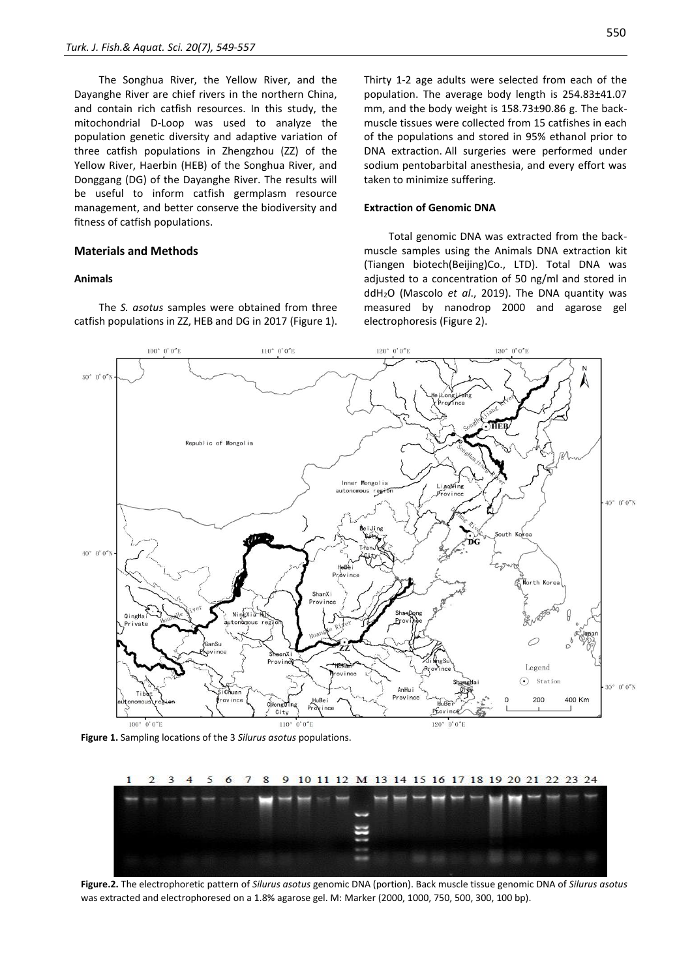The Songhua River, the Yellow River, and the Dayanghe River are chief rivers in the northern China, and contain rich catfish resources. In this study, the mitochondrial D-Loop was used to analyze the population genetic diversity and adaptive variation of three catfish populations in Zhengzhou (ZZ) of the Yellow River, Haerbin (HEB) of the Songhua River, and Donggang (DG) of the Dayanghe River. The results will be useful to inform catfish germplasm resource management, and better conserve the biodiversity and fitness of catfish populations.

### **Materials and Methods**

#### **Animals**

The *S. asotus* samples were obtained from three catfish populations in ZZ, HEB and DG in 2017 (Figure 1). Thirty 1-2 age adults were selected from each of the population. The average body length is 254.83±41.07 mm, and the body weight is 158.73±90.86 g. The backmuscle tissues were collected from 15 catfishes in each of the populations and stored in 95% ethanol prior to DNA extraction. All surgeries were performed under sodium pentobarbital anesthesia, and every effort was taken to minimize suffering.

#### **Extraction of Genomic DNA**

Total genomic DNA was extracted from the backmuscle samples using the Animals DNA extraction kit (Tiangen biotech(Beijing)Co., LTD). Total DNA was adjusted to a concentration of 50 ng/ml and stored in ddH2O (Mascolo *et al*., 2019). The DNA quantity was measured by nanodrop 2000 and agarose gel electrophoresis (Figure 2).



**Figure 1.** Sampling locations of the 3 *Silurus asotus* populations.



**Figure.2.** The electrophoretic pattern of *Silurus asotus* genomic DNA (portion). Back muscle tissue genomic DNA of *Silurus asotus* was extracted and electrophoresed on a 1.8% agarose gel. M: Marker (2000, 1000, 750, 500, 300, 100 bp).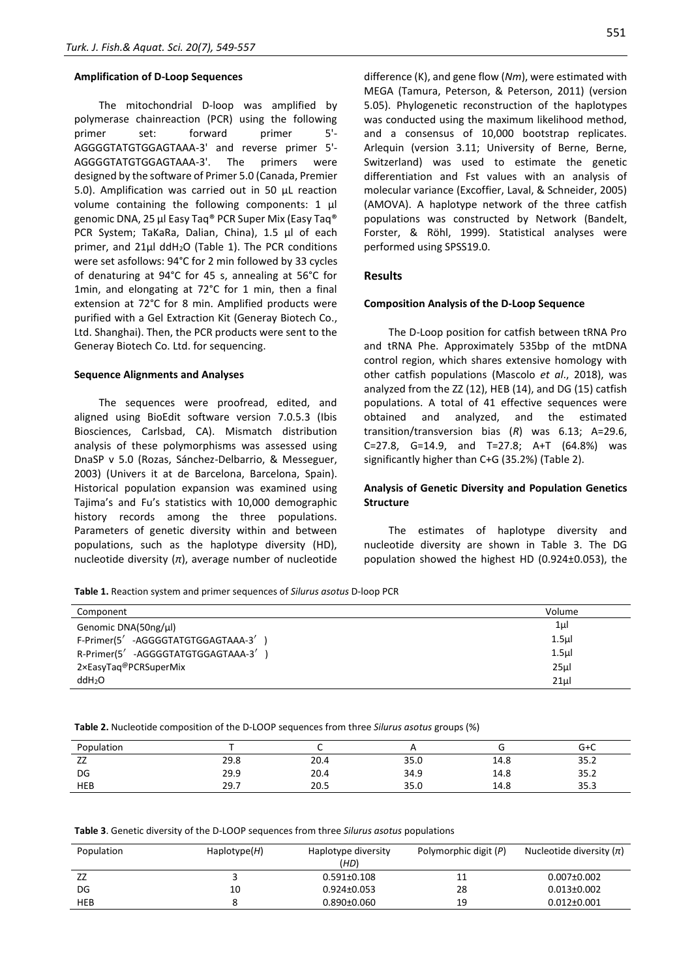#### **Amplification of D-Loop Sequences**

The mitochondrial D-loop was amplified by polymerase chainreaction (PCR) using the following primer set: forward primer 5'- AGGGGTATGTGGAGTAAA-3' and reverse primer 5'- AGGGGTATGTGGAGTAAA-3'. The primers were designed by the software of Primer 5.0 (Canada, Premier 5.0). Amplification was carried out in 50 μL reaction volume containing the following components: 1 μl genomic DNA, 25 μl Easy Taq® PCR Super Mix (Easy Taq® PCR System; TaKaRa, Dalian, China), 1.5 μl of each primer, and 21μl ddH2O (Table 1). The PCR conditions were set asfollows: 94°C for 2 min followed by 33 cycles of denaturing at 94°C for 45 s, annealing at 56°C for 1min, and elongating at 72°C for 1 min, then a final extension at 72°C for 8 min. Amplified products were purified with a Gel Extraction Kit (Generay Biotech Co., Ltd. Shanghai). Then, the PCR products were sent to the Generay Biotech Co. Ltd. for sequencing.

#### **Sequence Alignments and Analyses**

The sequences were proofread, edited, and aligned using BioEdit software version 7.0.5.3 (Ibis Biosciences, Carlsbad, CA). Mismatch distribution analysis of these polymorphisms was assessed using DnaSP v 5.0 (Rozas, Sánchez-Delbarrio, & Messeguer, 2003) (Univers it at de Barcelona, Barcelona, Spain). Historical population expansion was examined using Tajima's and Fu's statistics with 10,000 demographic history records among the three populations. Parameters of genetic diversity within and between populations, such as the haplotype diversity (HD), nucleotide diversity (*π*), average number of nucleotide

difference (K), and gene flow (*Nm*), were estimated with MEGA (Tamura, Peterson, & Peterson, 2011) (version 5.05). Phylogenetic reconstruction of the haplotypes was conducted using the maximum likelihood method, and a consensus of 10,000 bootstrap replicates. Arlequin (version 3.11; University of Berne, Berne, Switzerland) was used to estimate the genetic differentiation and Fst values with an analysis of molecular variance (Excoffier, Laval, & Schneider, 2005) (AMOVA). A haplotype network of the three catfish populations was constructed by Network (Bandelt, Forster, & Röhl, 1999). Statistical analyses were performed using SPSS19.0.

#### **Results**

#### **Composition Analysis of the D-Loop Sequence**

The D-Loop position for catfish between tRNA Pro and tRNA Phe. Approximately 535bp of the mtDNA control region, which shares extensive homology with other catfish populations (Mascolo *et al*., 2018), was analyzed from the ZZ (12), HEB (14), and DG (15) catfish populations. A total of 41 effective sequences were obtained and analyzed, and the estimated transition/transversion bias (*R*) was 6.13; A=29.6, C=27.8, G=14.9, and T=27.8; A+T (64.8%) was significantly higher than C+G (35.2%) (Table 2).

# **Analysis of Genetic Diversity and Population Genetics Structure**

The estimates of haplotype diversity and nucleotide diversity are shown in Table 3. The DG population showed the highest HD (0.924±0.053), the

**Table 1.** Reaction system and primer sequences of *Silurus asotus* D-loop PCR

| Component                          | Volume           |
|------------------------------------|------------------|
| Genomic DNA(50ng/µl)               | 1μl              |
| F-Primer(5' -AGGGGTATGTGGAGTAAA-3' | 1.5 <sub>µ</sub> |
| R-Primer(5' -AGGGGTATGTGGAGTAAA-3' | $1.5$ µl         |
| 2×EasyTaq@PCRSuperMix              | 25 <sub>µ</sub>  |
| ddH <sub>2</sub> O                 | $21$ µ           |

| Table 2. Nucleotide composition of the D-LOOP sequences from three Silurus asotus groups (%) |  |  |
|----------------------------------------------------------------------------------------------|--|--|
|----------------------------------------------------------------------------------------------|--|--|

| Population                            |      |      |      |      | G+C  |
|---------------------------------------|------|------|------|------|------|
| $\overline{\phantom{a}}$<br><u>__</u> | 29.8 | 20.4 | 35.0 | 14.8 | 35.2 |
| DG                                    | 29.9 | 20.4 | 34.9 | 14.8 | 35.2 |
| HEB                                   | 29.7 | 20.5 | 35.0 | 14.8 | 35.3 |

|  |  | Table 3. Genetic diversity of the D-LOOP sequences from three Silurus asotus populations |  |  |
|--|--|------------------------------------------------------------------------------------------|--|--|
|--|--|------------------------------------------------------------------------------------------|--|--|

| Population | Haplotype(H) | Haplotype diversity<br>(HD) | Polymorphic digit (P) | Nucleotide diversity $(\pi)$ |
|------------|--------------|-----------------------------|-----------------------|------------------------------|
| ΖZ         |              | $0.591 \pm 0.108$           |                       | $0.007 \pm 0.002$            |
| DG         | 10           | $0.924 \pm 0.053$           | 28                    | $0.013 \pm 0.002$            |
| <b>HEB</b> |              | $0.890 \pm 0.060$           | 19                    | $0.012 \pm 0.001$            |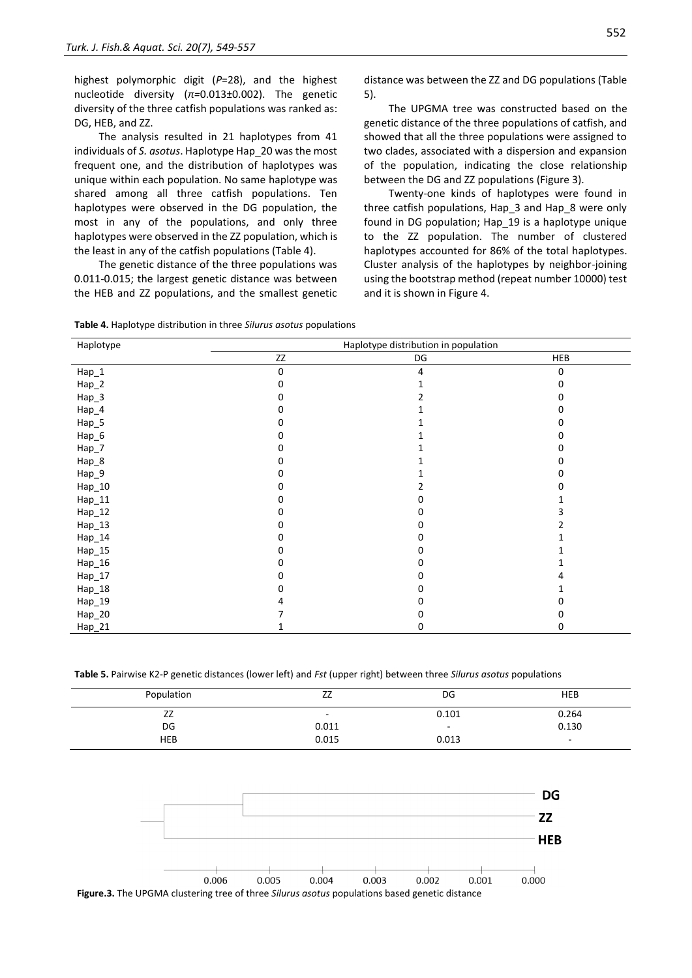highest polymorphic digit (*P*=28), and the highest nucleotide diversity (*π=*0.013±0.002). The genetic diversity of the three catfish populations was ranked as: DG, HEB, and ZZ.

The analysis resulted in 21 haplotypes from 41 individuals of *S. asotus*. Haplotype Hap\_20 was the most frequent one, and the distribution of haplotypes was unique within each population. No same haplotype was shared among all three catfish populations. Ten haplotypes were observed in the DG population, the most in any of the populations, and only three haplotypes were observed in the ZZ population, which is the least in any of the catfish populations (Table 4).

The genetic distance of the three populations was 0.011-0.015; the largest genetic distance was between the HEB and ZZ populations, and the smallest genetic

distance was between the ZZ and DG populations (Table 5).

The UPGMA tree was constructed based on the genetic distance of the three populations of catfish, and showed that all the three populations were assigned to two clades, associated with a dispersion and expansion of the population, indicating the close relationship between the DG and ZZ populations (Figure 3).

Twenty-one kinds of haplotypes were found in three catfish populations, Hap\_3 and Hap\_8 were only found in DG population; Hap\_19 is a haplotype unique to the ZZ population. The number of clustered haplotypes accounted for 86% of the total haplotypes. Cluster analysis of the haplotypes by neighbor-joining using the bootstrap method (repeat number 10000) test and it is shown in Figure 4.

**Table 4.** Haplotype distribution in three *Silurus asotus* populations

| . .<br>.         | . .                                  |    |     |
|------------------|--------------------------------------|----|-----|
| Haplotype        | Haplotype distribution in population |    |     |
|                  | ΖZ                                   | DG | HEB |
| $\text{Hap\_1}$  | 0                                    | 4  | 0   |
| $\text{Hap}_2$   |                                      |    | O   |
| $\text{Hap}_3$   |                                      |    | 0   |
| $\text{Hap}_4$   |                                      |    |     |
| $\text{Hap\_5}$  |                                      |    |     |
| Hap_6            |                                      |    |     |
| $\text{Hap}_2$   |                                      |    | Ω   |
| $\text{Hap\_8}$  |                                      |    |     |
| Hap_9            |                                      |    |     |
| $\text{Hap\_10}$ |                                      |    |     |
| $\text{Hap\_11}$ |                                      |    |     |
| $\text{Hap\_12}$ |                                      |    |     |
| $\text{Hap\_13}$ |                                      |    |     |
| $\text{Hap\_14}$ |                                      |    |     |
| $\text{Hap\_15}$ |                                      |    |     |
| $\text{Hap\_16}$ |                                      |    |     |
| $\text{Hap\_17}$ |                                      |    |     |
| $\text{Hap\_18}$ |                                      |    |     |
| Hap_19           |                                      |    |     |
| $\text{Hap\_20}$ |                                      |    |     |
| $\text{Hap\_21}$ |                                      | 0  | 0   |

**Table 5.** Pairwise K2-P genetic distances (lower left) and *Fst* (upper right) between three *Silurus asotus* populations

| Population | LL    | DG                       | <b>HEB</b> |
|------------|-------|--------------------------|------------|
| LL         |       | 0.101                    | 0.264      |
| DG         | 0.011 | $\overline{\phantom{a}}$ | 0.130      |
| <b>HEB</b> | 0.015 | 0.013                    | $\sim$     |

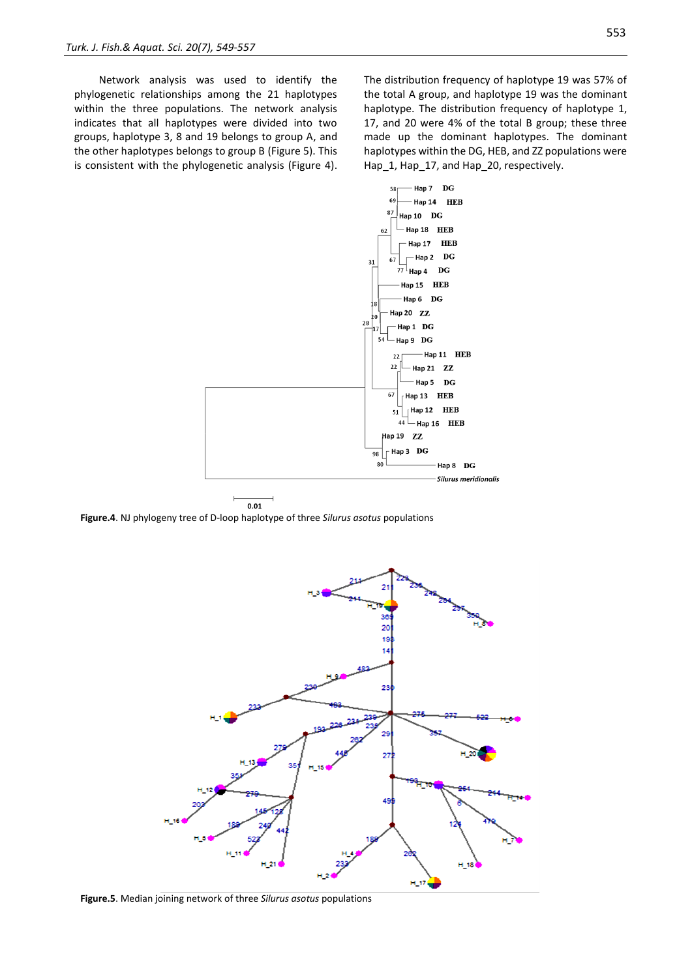Network analysis was used to identify the phylogenetic relationships among the 21 haplotypes within the three populations. The network analysis indicates that all haplotypes were divided into two groups, haplotype 3, 8 and 19 belongs to group A, and the other haplotypes belongs to group B (Figure 5). This is consistent with the phylogenetic analysis (Figure 4). The distribution frequency of haplotype 19 was 57% of the total A group, and haplotype 19 was the dominant haplotype. The distribution frequency of haplotype 1, 17, and 20 were 4% of the total B group; these three made up the dominant haplotypes. The dominant haplotypes within the DG, HEB, and ZZ populations were Hap\_1, Hap\_17, and Hap\_20, respectively.



**Figure.4**. NJ phylogeny tree of D-loop haplotype of three *Silurus asotus* populations



**Figure.5**. Median joining network of three *Silurus asotus* populations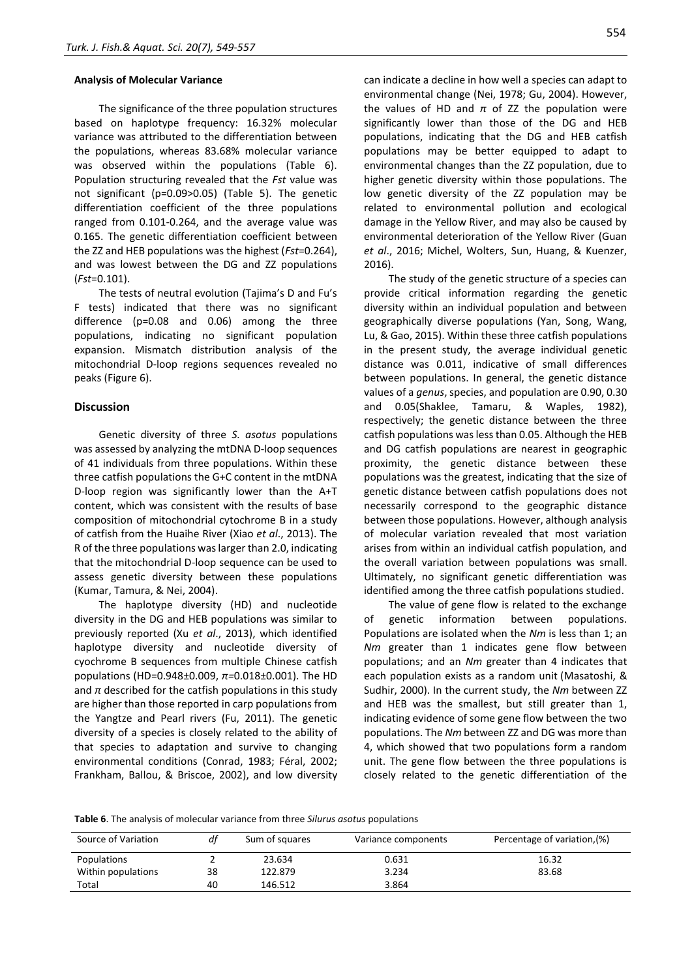#### **Analysis of Molecular Variance**

The significance of the three population structures based on haplotype frequency: 16.32% molecular variance was attributed to the differentiation between the populations, whereas 83.68% molecular variance was observed within the populations (Table 6). Population structuring revealed that the *Fst* value was not significant (p=0.09>0.05) (Table 5). The genetic differentiation coefficient of the three populations ranged from 0.101-0.264, and the average value was 0.165. The genetic differentiation coefficient between the ZZ and HEB populations was the highest (*Fst*=0.264), and was lowest between the DG and ZZ populations (*Fst*=0.101).

The tests of neutral evolution (Tajima's D and Fu's F tests) indicated that there was no significant difference (p=0.08 and 0.06) among the three populations, indicating no significant population expansion. Mismatch distribution analysis of the mitochondrial D-loop regions sequences revealed no peaks (Figure 6).

#### **Discussion**

Genetic diversity of three *S. asotus* populations was assessed by analyzing the mtDNA D-loop sequences of 41 individuals from three populations. Within these three catfish populations the G+C content in the mtDNA D-loop region was significantly lower than the A+T content, which was consistent with the results of base composition of mitochondrial cytochrome B in a study of catfish from the Huaihe River (Xiao *et al*., 2013). The R of the three populations was larger than 2.0, indicating that the mitochondrial D-loop sequence can be used to assess genetic diversity between these populations (Kumar, Tamura, & Nei, 2004).

The haplotype diversity (HD) and nucleotide diversity in the DG and HEB populations was similar to previously reported (Xu *et al*., 2013), which identified haplotype diversity and nucleotide diversity of cyochrome B sequences from multiple Chinese catfish populations (HD=0.948±0.009, *π=*0.018±0.001). The HD and *π* described for the catfish populations in this study are higher than those reported in carp populations from the Yangtze and Pearl rivers (Fu, 2011). The genetic diversity of a species is closely related to the ability of that species to adaptation and survive to changing environmental conditions (Conrad, 1983; Féral, 2002; Frankham, Ballou, & Briscoe, 2002), and low diversity

can indicate a decline in how well a species can adapt to environmental change (Nei, 1978; Gu, 2004). However, the values of HD and  $\pi$  of ZZ the population were significantly lower than those of the DG and HEB populations, indicating that the DG and HEB catfish populations may be better equipped to adapt to environmental changes than the ZZ population, due to higher genetic diversity within those populations. The low genetic diversity of the ZZ population may be related to environmental pollution and ecological damage in the Yellow River, and may also be caused by environmental deterioration of the Yellow River (Guan *et al*., 2016; Michel, Wolters, Sun, Huang, & Kuenzer, 2016).

The study of the genetic structure of a species can provide critical information regarding the genetic diversity within an individual population and between geographically diverse populations (Yan, Song, Wang, Lu, & Gao, 2015). Within these three catfish populations in the present study, the average individual genetic distance was 0.011, indicative of small differences between populations. In general, the genetic distance values of a *genus*, species, and population are 0.90, 0.30 and 0.05(Shaklee, Tamaru, & Waples, 1982), respectively; the genetic distance between the three catfish populations was less than 0.05. Although the HEB and DG catfish populations are nearest in geographic proximity, the genetic distance between these populations was the greatest, indicating that the size of genetic distance between catfish populations does not necessarily correspond to the geographic distance between those populations. However, although analysis of molecular variation revealed that most variation arises from within an individual catfish population, and the overall variation between populations was small. Ultimately, no significant genetic differentiation was identified among the three catfish populations studied.

The value of gene flow is related to the exchange of genetic information between populations. Populations are isolated when the *Nm* is less than 1; an *Nm* greater than 1 indicates gene flow between populations; and an *Nm* greater than 4 indicates that each population exists as a random unit (Masatoshi, & Sudhir, 2000). In the current study, the *Nm* between ZZ and HEB was the smallest, but still greater than 1, indicating evidence of some gene flow between the two populations. The *Nm* between ZZ and DG was more than 4, which showed that two populations form a random unit. The gene flow between the three populations is closely related to the genetic differentiation of the

**Table 6**. The analysis of molecular variance from three *Silurus asotus* populations

| Source of Variation |    | Sum of squares | Variance components | Percentage of variation, (%) |
|---------------------|----|----------------|---------------------|------------------------------|
| Populations         |    | 23.634         | 0.631               | 16.32                        |
| Within populations  | 38 | 122.879        | 3.234               | 83.68                        |
| Total               | 40 | 146.512        | 3.864               |                              |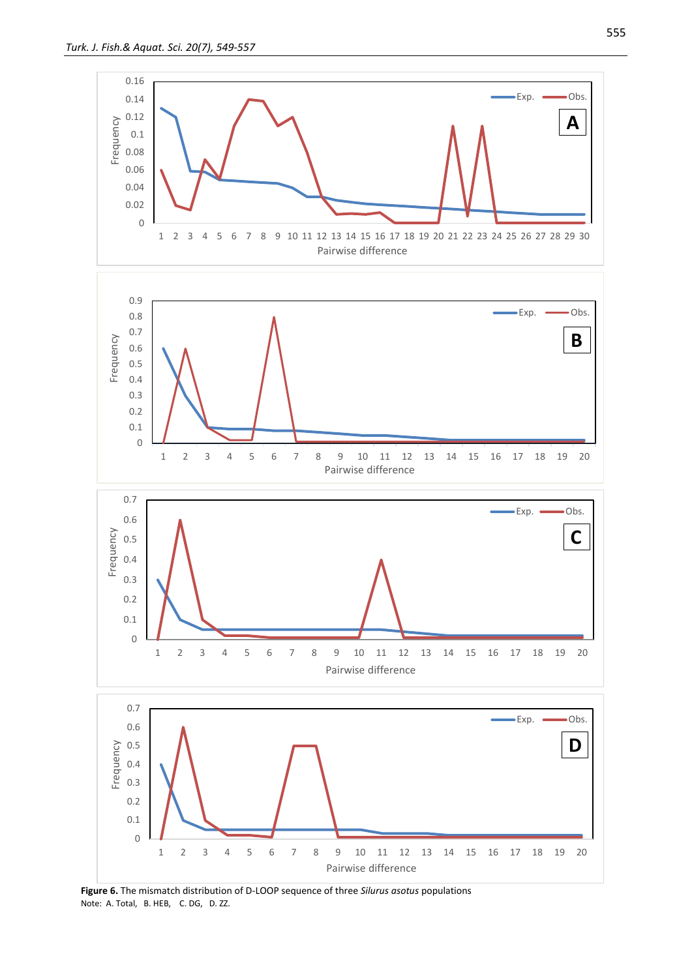

**Figure 6.** The mismatch distribution of D-LOOP sequence of three *Silurus asotus* populations Note: A. Total, B. HEB, C. DG, D. ZZ.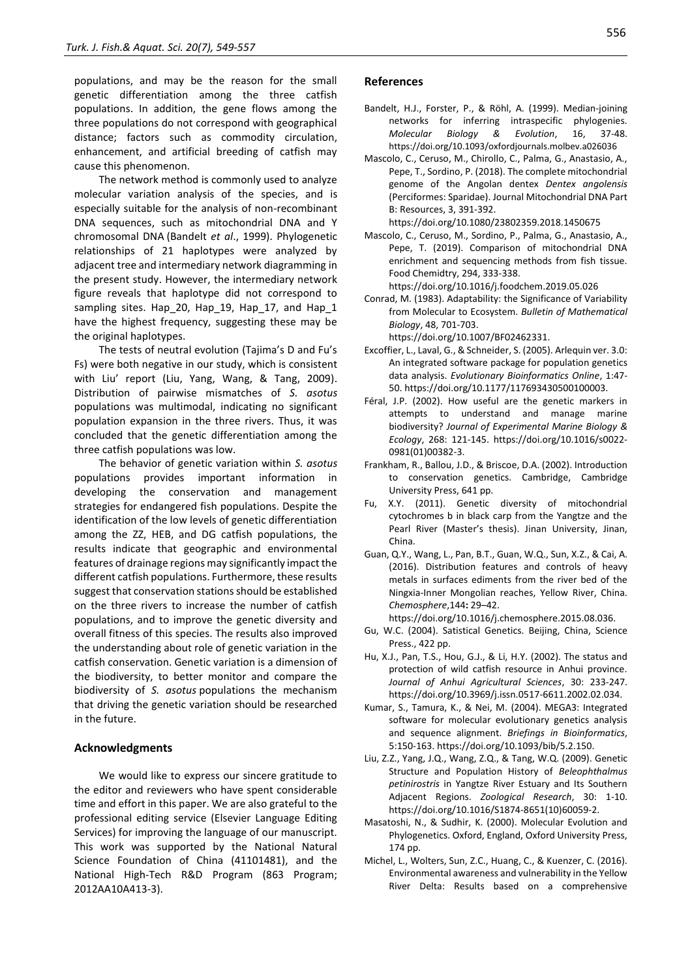populations, and may be the reason for the small genetic differentiation among the three catfish populations. In addition, the gene flows among the three populations do not correspond with geographical distance; factors such as commodity circulation, enhancement, and artificial breeding of catfish may cause this phenomenon.

The network method is commonly used to analyze molecular variation analysis of the species, and is especially suitable for the analysis of non-recombinant DNA sequences, such as mitochondrial DNA and Y chromosomal DNA (Bandelt *et al*., 1999). Phylogenetic relationships of 21 haplotypes were analyzed by adjacent tree and intermediary network diagramming in the present study. However, the intermediary network figure reveals that haplotype did not correspond to sampling sites. Hap\_20, Hap\_19, Hap\_17, and Hap\_1 have the highest frequency, suggesting these may be the original haplotypes.

The tests of neutral evolution (Tajima's D and Fu's Fs) were both negative in our study, which is consistent with Liu' report (Liu, Yang, Wang, & Tang, 2009). Distribution of pairwise mismatches of *S. asotus* populations was multimodal, indicating no significant population expansion in the three rivers. Thus, it was concluded that the genetic differentiation among the three catfish populations was low.

The behavior of genetic variation within *S. asotus* populations provides important information in developing the conservation and management strategies for endangered fish populations. Despite the identification of the low levels of genetic differentiation among the ZZ, HEB, and DG catfish populations, the results indicate that geographic and environmental features of drainage regions may significantly impact the different catfish populations. Furthermore, these results suggest that conservation stations should be established on the three rivers to increase the number of catfish populations, and to improve the genetic diversity and overall fitness of this species. The results also improved the understanding about role of genetic variation in the catfish conservation. Genetic variation is a dimension of the biodiversity, to better monitor and compare the biodiversity of *S. asotus* populations the mechanism that driving the genetic variation should be researched in the future.

#### **Acknowledgments**

We would like to express our sincere gratitude to the editor and reviewers who have spent considerable time and effort in this paper. We are also grateful to the professional editing service (Elsevier Language Editing Services) for improving the language of our manuscript. This work was supported by the National Natural Science Foundation of China (41101481), and the National High-Tech R&D Program (863 Program; 2012AA10A413-3).

#### **References**

- Bandelt, H.J., Forster, P., & Röhl, A. (1999). Median-joining networks for inferring intraspecific phylogenies. *Molecular Biology & Evolution*, 16, 37-48. https://doi.org/10.1093/oxfordjournals.molbev.a026036
- Mascolo, C., Ceruso, M., Chirollo, C., Palma, G., Anastasio, A., Pepe, T., Sordino, P. (2018). The complete mitochondrial genome of the Angolan dentex *Dentex angolensis* (Perciformes: Sparidae). Journal Mitochondrial DNA Part B: Resources, 3, 391-392.

https://doi.org/10.1080/23802359.2018.1450675

Mascolo, C., Ceruso, M., Sordino, P., Palma, G., Anastasio, A., Pepe, T. (2019). Comparison of mitochondrial DNA enrichment and sequencing methods from fish tissue. Food Chemidtry, 294, 333-338.

https://doi.org/10.1016/j.foodchem.2019.05.026

Conrad, M. (1983). Adaptability: the Significance of Variability from Molecular to Ecosystem. *Bulletin of Mathematical Biology*, 48, 701-703.

https://doi.org/10.1007/BF02462331.

- Excoffier, L., Laval, G., & Schneider, S. (2005). Arlequin ver. 3.0: An integrated software package for population genetics data analysis. *Evolutionary Bioinformatics Online*, 1:47- 50. https://doi.org/10.1177/117693430500100003.
- Féral, J.P. (2002). How useful are the genetic markers in attempts to understand and manage marine biodiversity? *Journal of Experimental Marine Biology & Ecology*, 268: 121-145. https://doi.org/10.1016/s0022- 0981(01)00382-3.
- Frankham, R., Ballou, J.D., & Briscoe, D.A. (2002). Introduction to conservation genetics. Cambridge, Cambridge University Press, 641 pp.
- Fu, X.Y. (2011). Genetic diversity of mitochondrial cytochromes b in black carp from the Yangtze and the Pearl River (Master's thesis). Jinan University, Jinan, China.
- Guan, Q.Y., Wang, L., Pan, B.T., Guan, W.Q., Sun, X.Z., & Cai, A. (2016). Distribution features and controls of heavy metals in surfaces ediments from the river bed of the Ningxia-Inner Mongolian reaches, Yellow River, China. *Chemosphere*,144**:** 29–42.

https://doi.org/10.1016/j.chemosphere.2015.08.036.

- Gu, W.C. (2004). Satistical Genetics. Beijing, China, Science Press., 422 pp.
- Hu, X.J., Pan, T.S., Hou, G.J., & Li, H.Y. (2002). The status and protection of wild catfish resource in Anhui province. *Journal of Anhui Agricultural Sciences*, 30: 233-247. https://doi.org/10.3969/j.issn.0517-6611.2002.02.034.
- Kumar, S., Tamura, K., & Nei, M. (2004). MEGA3: Integrated software for molecular evolutionary genetics analysis and sequence alignment. *Briefings in Bioinformatics*, 5:150-163. https://doi.org/10.1093/bib/5.2.150.
- Liu, Z.Z., Yang, J.Q., Wang, Z.Q., & Tang, W.Q. (2009). Genetic Structure and Population History of *Beleophthalmus petinirostris* in Yangtze River Estuary and Its Southern Adjacent Regions. *Zoological Research*, 30: 1-10. https://doi.org/10.1016/S1874-8651(10)60059-2.
- Masatoshi, N., & Sudhir, K. (2000). Molecular Evolution and Phylogenetics. Oxford, England, Oxford University Press, 174 pp.
- Michel, L., Wolters, Sun, Z.C., Huang, C., & Kuenzer, C. (2016). Environmental awareness and vulnerability in the Yellow River Delta: Results based on a comprehensive